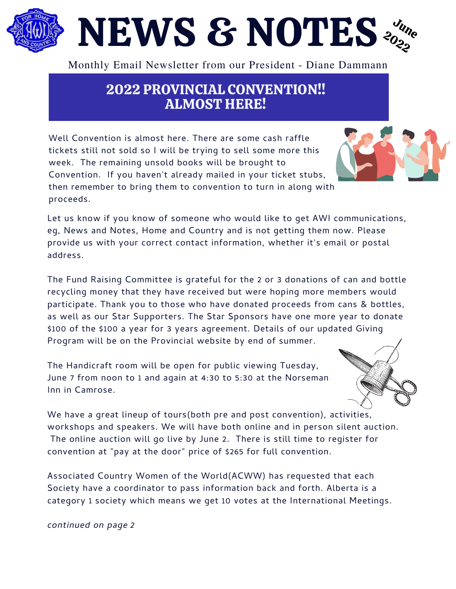## NEWS & NOTES Jun 2 e  $\delta^{(2)}$

Monthly Email Newsletter from our President - Diane Dammann

## 2022 PROVINCIAL CONVENTION!! ALMOST HERE!

Well Convention is almost here. There are some cash raffle tickets still not sold so I will be trying to sell some more this week. The remaining unsold books will be brought to Convention. If you haven't already mailed in your ticket stubs, then remember to bring them to convention to turn in along with proceeds.

Let us know if you know of someone who would like to get AWI communications, eg, News and Notes, Home and Country and is not getting them now. Please provide us with your correct contact information, whether it's email or postal address.

The Fund Raising Committee is grateful for the 2 or 3 donations of can and bottle recycling money that they have received but were hoping more members would participate. Thank you to those who have donated proceeds from cans & bottles, as well as our Star Supporters. The Star Sponsors have one more year to donate \$100 of the \$100 a year for 3 years agreement. Details of our updated Giving Program will be on the Provincial website by end of summer.

The Handicraft room will be open for public viewing Tuesday, June 7 from noon to 1 and again at 4:30 to 5:30 at the Norseman Inn in Camrose.

We have a great lineup of tours(both pre and post convention), activities, workshops and speakers. We will have both online and in person silent auction. The online auction will go live by June 2. There is still time to register for convention at "pay at the door" price of \$265 for full convention.

Associated Country Women of the World(ACWW) has requested that each Society have a coordinator to pass information back and forth. Alberta is a category 1 society which means we get 10 votes at the International Meetings.

*continued on page 2*